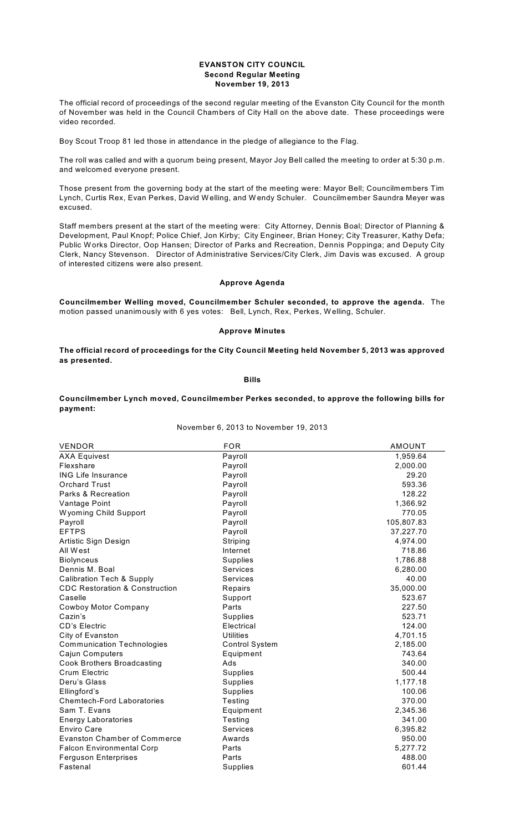### **EVANSTON CITY COUNCIL Second Regular Meeting November 19, 2013**

The official record of proceedings of the second regular meeting of the Evanston City Council for the month of November was held in the Council Chambers of City Hall on the above date. These proceedings were video recorded.

Boy Scout Troop 81 led those in attendance in the pledge of allegiance to the Flag.

The roll was called and with a quorum being present, Mayor Joy Bell called the meeting to order at 5:30 p.m. and welcomed everyone present.

Those present from the governing body at the start of the meeting were: Mayor Bell; Councilmembers Tim Lynch, Curtis Rex, Evan Perkes, David W elling, and W endy Schuler. Councilmember Saundra Meyer was excused.

Staff members present at the start of the meeting were: City Attorney, Dennis Boal; Director of Planning & Development, Paul Knopf; Police Chief, Jon Kirby; City Engineer, Brian Honey; City Treasurer, Kathy Defa; Public W orks Director, Oop Hansen; Director of Parks and Recreation, Dennis Poppinga; and Deputy City Clerk, Nancy Stevenson. Director of Administrative Services/City Clerk, Jim Davis was excused. A group of interested citizens were also present.

## **Approve Agenda**

**Councilmember Welling moved, Councilmember Schuler seconded, to approve the agenda.** The motion passed unanimously with 6 yes votes: Bell, Lynch, Rex, Perkes, W elling, Schuler.

## **Approve Minutes**

**The official record of proceedings for the City Council Meeting held November 5, 2013 was approved as presented.**

# **Bills**

**Councilmember Lynch moved, Councilmember Perkes seconded, to approve the following bills for payment:**

November 6, 2013 to November 19, 2013

| <b>VENDOR</b>                             | <b>FOR</b>            | <b>AMOUNT</b> |
|-------------------------------------------|-----------------------|---------------|
| <b>AXA Equivest</b>                       | Payroll               | 1,959.64      |
| Flexshare                                 | Payroll               | 2,000.00      |
| <b>ING Life Insurance</b>                 | Payroll               | 29.20         |
| <b>Orchard Trust</b>                      | Payroll               | 593.36        |
| Parks & Recreation                        | Payroll               | 128.22        |
| Vantage Point                             | Payroll               | 1,366.92      |
| Wyoming Child Support                     | Payroll               | 770.05        |
| Payroll                                   | Payroll               | 105,807.83    |
| <b>EFTPS</b>                              | Payroll               | 37,227.70     |
| Artistic Sign Design                      | Striping              | 4,974.00      |
| All West                                  | Internet              | 718.86        |
| <b>Biolynceus</b>                         | <b>Supplies</b>       | 1,786.88      |
| Dennis M. Boal                            | Services              | 6,280.00      |
| <b>Calibration Tech &amp; Supply</b>      | Services              | 40.00         |
| <b>CDC Restoration &amp; Construction</b> | Repairs               | 35,000.00     |
| Caselle                                   | Support               | 523.67        |
| <b>Cowboy Motor Company</b>               | Parts                 | 227.50        |
| Cazin's                                   | <b>Supplies</b>       | 523.71        |
| <b>CD's Electric</b>                      | Electrical            | 124.00        |
| City of Evanston                          | <b>Utilities</b>      | 4,701.15      |
| <b>Communication Technologies</b>         | <b>Control System</b> | 2,185.00      |
| Cajun Computers                           | Equipment             | 743.64        |
| <b>Cook Brothers Broadcasting</b>         | Ads                   | 340.00        |
| Crum Electric                             | <b>Supplies</b>       | 500.44        |
| Deru's Glass                              | Supplies              | 1,177.18      |
| Ellingford's                              | <b>Supplies</b>       | 100.06        |
| <b>Chemtech-Ford Laboratories</b>         | Testing               | 370.00        |
| Sam T. Evans                              | Equipment             | 2,345.36      |
| <b>Energy Laboratories</b>                | Testing               | 341.00        |
| <b>Enviro Care</b>                        | Services              | 6,395.82      |
| <b>Evanston Chamber of Commerce</b>       | Awards                | 950.00        |
| <b>Falcon Environmental Corp</b>          | Parts                 | 5,277.72      |
| <b>Ferguson Enterprises</b>               | Parts                 | 488.00        |
| Fastenal                                  | Supplies              | 601.44        |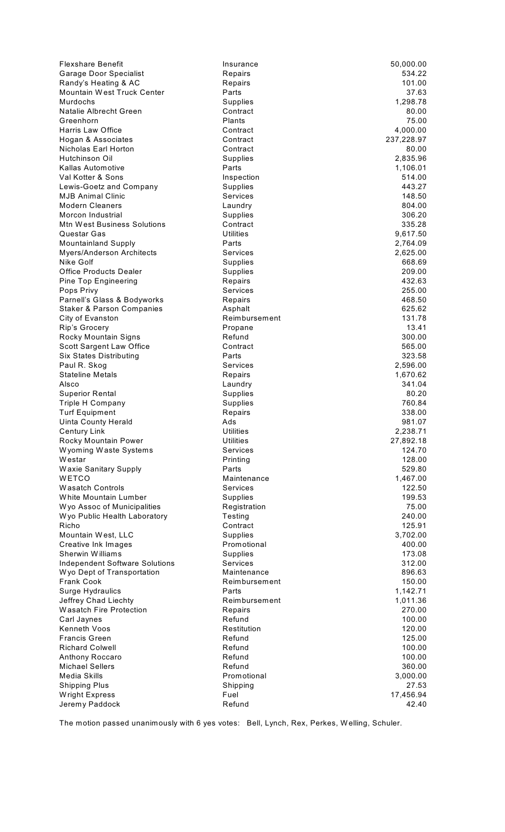| <b>Flexshare Benefit</b>                                            | Insurance                          | 50,000.00          |
|---------------------------------------------------------------------|------------------------------------|--------------------|
| Garage Door Specialist                                              | Repairs                            | 534.22             |
| Randy's Heating & AC                                                | Repairs                            | 101.00             |
| Mountain West Truck Center                                          | Parts                              | 37.63              |
| Murdochs<br>Natalie Albrecht Green                                  | Supplies<br>Contract               | 1,298.78<br>80.00  |
| Greenhorn                                                           | Plants                             | 75.00              |
| Harris Law Office                                                   | Contract                           | 4,000.00           |
| Hogan & Associates                                                  | Contract                           | 237,228.97         |
| Nicholas Earl Horton                                                | Contract                           | 80.00              |
| Hutchinson Oil                                                      | <b>Supplies</b>                    | 2,835.96           |
| Kallas Automotive                                                   | Parts                              | 1,106.01           |
| Val Kotter & Sons                                                   | Inspection                         | 514.00             |
| Lewis-Goetz and Company                                             | Supplies                           | 443.27             |
| <b>MJB Animal Clinic</b><br><b>Modern Cleaners</b>                  | Services                           | 148.50<br>804.00   |
| Morcon Industrial                                                   | Laundry<br>Supplies                | 306.20             |
| Mtn West Business Solutions                                         | Contract                           | 335.28             |
| Questar Gas                                                         | Utilities                          | 9,617.50           |
| <b>Mountainland Supply</b>                                          | Parts                              | 2,764.09           |
| Myers/Anderson Architects                                           | <b>Services</b>                    | 2,625.00           |
| Nike Golf                                                           | Supplies                           | 668.69             |
| <b>Office Products Dealer</b>                                       | Supplies                           | 209.00             |
| Pine Top Engineering                                                | Repairs                            | 432.63             |
| Pops Privy                                                          | Services                           | 255.00             |
| Parnell's Glass & Bodyworks<br><b>Staker &amp; Parson Companies</b> | Repairs<br>Asphalt                 | 468.50<br>625.62   |
| City of Evanston                                                    | Reimbursement                      | 131.78             |
| Rip's Grocery                                                       | Propane                            | 13.41              |
| Rocky Mountain Signs                                                | Refund                             | 300.00             |
| Scott Sargent Law Office                                            | Contract                           | 565.00             |
| <b>Six States Distributing</b>                                      | Parts                              | 323.58             |
| Paul R. Skog                                                        | Services                           | 2,596.00           |
| <b>Stateline Metals</b>                                             | Repairs                            | 1,670.62           |
| Alsco                                                               | Laundry                            | 341.04             |
| <b>Superior Rental</b><br><b>Triple H Company</b>                   | <b>Supplies</b><br><b>Supplies</b> | 80.20<br>760.84    |
| <b>Turf Equipment</b>                                               | Repairs                            | 338.00             |
| <b>Uinta County Herald</b>                                          | Ads                                | 981.07             |
| Century Link                                                        | Utilities                          | 2,238.71           |
| Rocky Mountain Power                                                | <b>Utilities</b>                   | 27,892.18          |
| Wyoming Waste Systems                                               | <b>Services</b>                    | 124.70             |
| Westar                                                              | Printing                           | 128.00             |
| <b>Waxie Sanitary Supply</b>                                        | Parts                              | 529.80             |
| WETCO                                                               | Maintenance                        | 1,467.00           |
| <b>Wasatch Controls</b><br>White Mountain Lumber                    | Services                           | 122.50<br>199.53   |
| Wyo Assoc of Municipalities                                         | <b>Supplies</b><br>Registration    | 75.00              |
| Wyo Public Health Laboratory                                        | Testing                            | 240.00             |
| Richo                                                               | Contract                           | 125.91             |
| Mountain West, LLC                                                  | Supplies                           | 3,702.00           |
| Creative Ink Images                                                 | Promotional                        | 400.00             |
| Sherwin Williams                                                    | <b>Supplies</b>                    | 173.08             |
| <b>Independent Software Solutions</b>                               | <b>Services</b>                    | 312.00             |
| Wyo Dept of Transportation                                          | Maintenance                        | 896.63             |
| <b>Frank Cook</b><br>Surge Hydraulics                               | Reimbursement<br>Parts             | 150.00<br>1,142.71 |
| Jeffrey Chad Liechty                                                | Reimbursement                      | 1,011.36           |
| <b>Wasatch Fire Protection</b>                                      | Repairs                            | 270.00             |
| Carl Jaynes                                                         | Refund                             | 100.00             |
| <b>Kenneth Voos</b>                                                 | Restitution                        | 120.00             |
| <b>Francis Green</b>                                                | Refund                             | 125.00             |
| <b>Richard Colwell</b>                                              | Refund                             | 100.00             |
| Anthony Roccaro                                                     | Refund                             | 100.00             |
| <b>Michael Sellers</b><br>Media Skills                              | Refund                             | 360.00             |
| Shipping Plus                                                       | Promotional<br>Shipping            | 3,000.00<br>27.53  |
| Wright Express                                                      | Fuel                               | 17,456.94          |
| Jeremy Paddock                                                      | Refund                             | 42.40              |
|                                                                     |                                    |                    |

The motion passed unanimously with 6 yes votes: Bell, Lynch, Rex, Perkes, Welling, Schuler.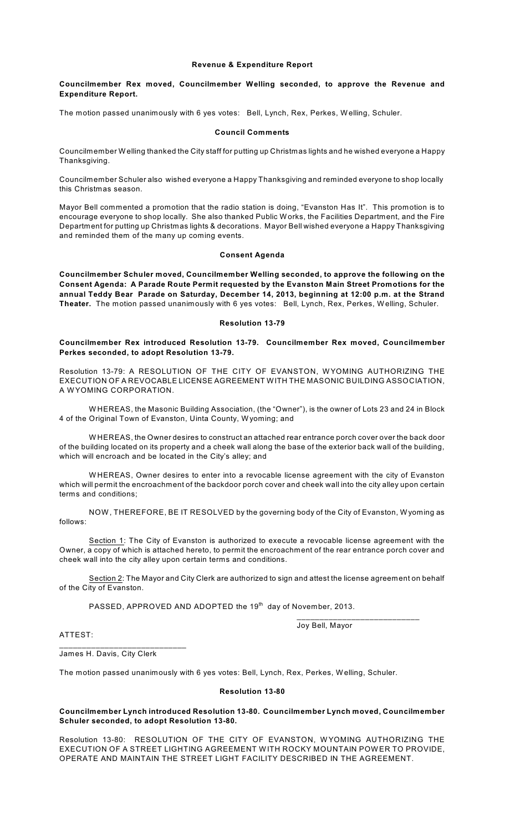### **Revenue & Expenditure Report**

# **Councilmember Rex moved, Councilmember Welling seconded, to approve the Revenue and Expenditure Report.**

The motion passed unanimously with 6 yes votes: Bell, Lynch, Rex, Perkes, W elling, Schuler.

#### **Council Comments**

Councilmember W elling thanked the City staff for putting up Christmas lights and he wished everyone a Happy Thanksgiving.

Councilmember Schuler also wished everyone a Happy Thanksgiving and reminded everyone to shop locally this Christmas season.

Mayor Bell commented a promotion that the radio station is doing, "Evanston Has It". This promotion is to encourage everyone to shop locally. She also thanked Public W orks, the Facilities Department, and the Fire Department for putting up Christmas lights & decorations. Mayor Bell wished everyone a Happy Thanksgiving and reminded them of the many up coming events.

## **Consent Agenda**

**Councilmember Schuler moved, Councilmember Welling seconded, to approve the following on the Consent Agenda: A Parade Route Permit requested by the Evanston Main Street Promotions for the annual Teddy Bear Parade on Saturday, December 14, 2013, beginning at 12:00 p.m. at the Strand Theater.** The motion passed unanimously with 6 yes votes: Bell, Lynch, Rex, Perkes, W elling, Schuler.

#### **Resolution 13-79**

## **Councilmember Rex introduced Resolution 13-79. Councilmember Rex moved, Councilmember Perkes seconded, to adopt Resolution 13-79.**

Resolution 13-79: A RESOLUTION OF THE CITY OF EVANSTON, W YOMING AUTHORIZING THE EXECUTION OF A REVOCABLE LICENSE AGREEMENT WITH THE MASONIC BUILDING ASSOCIATION, A W YOMING CORPORATION.

W HEREAS, the Masonic Building Association, (the "Owner"), is the owner of Lots 23 and 24 in Block 4 of the Original Town of Evanston, Uinta County, W yoming; and

W HEREAS, the Owner desires to construct an attached rear entrance porch cover over the back door of the building located on its property and a cheek wall along the base of the exterior back wall of the building, which will encroach and be located in the City's alley; and

W HEREAS, Owner desires to enter into a revocable license agreement with the city of Evanston which will permit the encroachment of the backdoor porch cover and cheek wall into the city alley upon certain terms and conditions;

NOW , THEREFORE, BE IT RESOLVED by the governing body of the City of Evanston, W yoming as follows:

Section 1: The City of Evanston is authorized to execute a revocable license agreement with the Owner, a copy of which is attached hereto, to permit the encroachment of the rear entrance porch cover and cheek wall into the city alley upon certain terms and conditions.

Section 2: The Mayor and City Clerk are authorized to sign and attest the license agreement on behalf of the City of Evanston.

<code>PASSED</code>, <code>APPROVED</code> AND <code>ADOPTED</code> the 19 $^{\rm th}$  day of November, 2013.

Joy Bell, Mayor

\_\_\_\_\_\_\_\_\_\_\_\_\_\_\_\_\_\_\_\_\_\_\_\_\_\_\_

ATTEST:

James H. Davis, City Clerk

\_\_\_\_\_\_\_\_\_\_\_\_\_\_\_\_\_\_\_\_\_\_\_\_\_\_\_\_

The motion passed unanimously with 6 yes votes: Bell, Lynch, Rex, Perkes, W elling, Schuler.

#### **Resolution 13-80**

# **Councilmember Lynch introduced Resolution 13-80. Councilmember Lynch moved, Councilmember Schuler seconded, to adopt Resolution 13-80.**

Resolution 13-80: RESOLUTION OF THE CITY OF EVANSTON, W YOMING AUTHORIZING THE EXECUTION OF A STREET LIGHTING AGREEMENT WITH ROCKY MOUNTAIN POWER TO PROVIDE, OPERATE AND MAINTAIN THE STREET LIGHT FACILITY DESCRIBED IN THE AGREEMENT.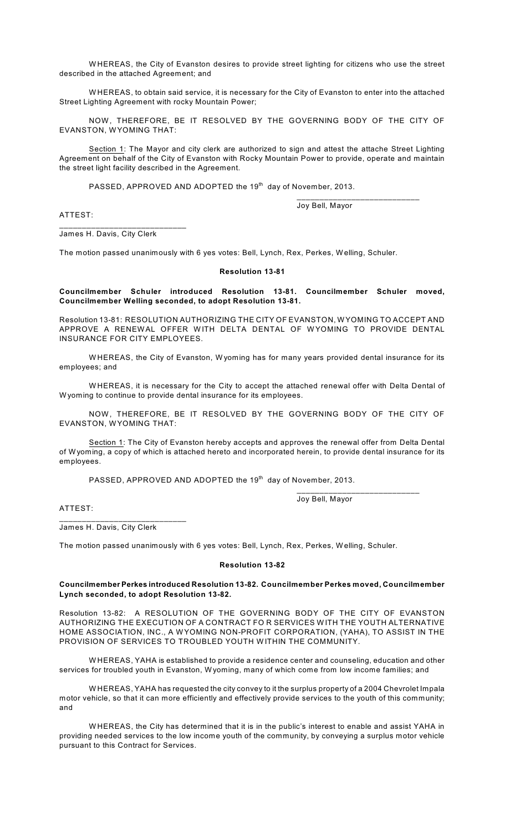W HEREAS, the City of Evanston desires to provide street lighting for citizens who use the street described in the attached Agreement; and

W HEREAS, to obtain said service, it is necessary for the City of Evanston to enter into the attached Street Lighting Agreement with rocky Mountain Power;

NOW, THEREFORE, BE IT RESOLVED BY THE GOVERNING BODY OF THE CITY OF EVANSTON, WYOMING THAT:

Section 1: The Mayor and city clerk are authorized to sign and attest the attache Street Lighting Agreement on behalf of the City of Evanston with Rocky Mountain Power to provide, operate and maintain the street light facility described in the Agreement.

<code>PASSED</code>, <code>APPROVED</code> AND <code>ADOPTED</code> the 19th day of November, 2013.

Joy Bell, Mayor

\_\_\_\_\_\_\_\_\_\_\_\_\_\_\_\_\_\_\_\_\_\_\_\_\_\_\_

ATTEST:

\_\_\_\_\_\_\_\_\_\_\_\_\_\_\_\_\_\_\_\_\_\_\_\_\_\_\_\_ James H. Davis, City Clerk

The motion passed unanimously with 6 yes votes: Bell, Lynch, Rex, Perkes, W elling, Schuler.

#### **Resolution 13-81**

**Councilmember Schuler introduced Resolution 13-81. Councilmember Schuler moved, Councilmember Welling seconded, to adopt Resolution 13-81.**

Resolution 13-81: RESOLUTION AUTHORIZING THE CITY OF EVANSTON, W YOMING TO ACCEPT AND APPROVE A RENEWAL OFFER WITH DELTA DENTAL OF WYOMING TO PROVIDE DENTAL INSURANCE FOR CITY EMPLOYEES.

W HEREAS, the City of Evanston, W yoming has for many years provided dental insurance for its employees; and

W HEREAS, it is necessary for the City to accept the attached renewal offer with Delta Dental of W yoming to continue to provide dental insurance for its employees.

NOW , THEREFORE, BE IT RESOLVED BY THE GOVERNING BODY OF THE CITY OF EVANSTON, WYOMING THAT:

Section 1: The City of Evanston hereby accepts and approves the renewal offer from Delta Dental of W yoming, a copy of which is attached hereto and incorporated herein, to provide dental insurance for its employees.

<code>PASSED</code>, <code>APPROVED</code> AND <code>ADOPTED</code> the 19th day of November, 2013.

Joy Bell, Mayor

\_\_\_\_\_\_\_\_\_\_\_\_\_\_\_\_\_\_\_\_\_\_\_\_\_\_\_

ATTEST:

James H. Davis, City Clerk

\_\_\_\_\_\_\_\_\_\_\_\_\_\_\_\_\_\_\_\_\_\_\_\_\_\_\_\_

The motion passed unanimously with 6 yes votes: Bell, Lynch, Rex, Perkes, W elling, Schuler.

#### **Resolution 13-82**

**Councilmember Perkes introduced Resolution 13-82. Councilmember Perkes moved, Councilmember Lynch seconded, to adopt Resolution 13-82.**

Resolution 13-82: A RESOLUTION OF THE GOVERNING BODY OF THE CITY OF EVANSTON AUTHORIZING THE EXECUTION OF A CONTRACT FO R SERVICES W ITH THE YOUTH ALTERNATIVE HOME ASSOCIATION, INC., A W YOMING NON-PROFIT CORPORATION, (YAHA), TO ASSIST IN THE PROVISION OF SERVICES TO TROUBLED YOUTH WITHIN THE COMMUNITY.

W HEREAS, YAHA is established to provide a residence center and counseling, education and other services for troubled youth in Evanston, W yoming, many of which come from low income families; and

W HEREAS, YAHA has requested the city convey to it the surplus property of a 2004 Chevrolet Impala motor vehicle, so that it can more efficiently and effectively provide services to the youth of this community; and

W HEREAS, the City has determined that it is in the public's interest to enable and assist YAHA in providing needed services to the low income youth of the community, by conveying a surplus motor vehicle pursuant to this Contract for Services.